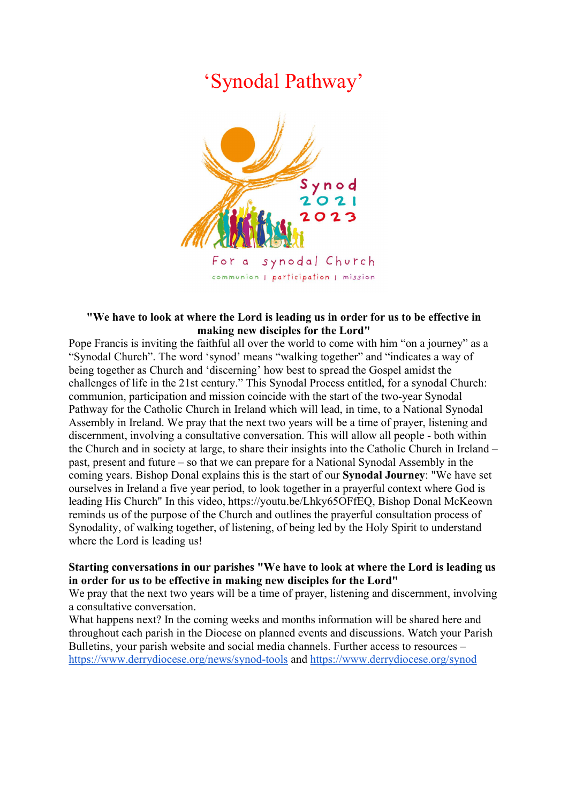## 'Synodal Pathway'



## "We have to look at where the Lord is leading us in order for us to be effective in making new disciples for the Lord"

Pope Francis is inviting the faithful all over the world to come with him "on a journey" as a "Synodal Church". The word 'synod' means "walking together" and "indicates a way of being together as Church and 'discerning' how best to spread the Gospel amidst the challenges of life in the 21st century." This Synodal Process entitled, for a synodal Church: communion, participation and mission coincide with the start of the two-year Synodal Pathway for the Catholic Church in Ireland which will lead, in time, to a National Synodal Assembly in Ireland. We pray that the next two years will be a time of prayer, listening and discernment, involving a consultative conversation. This will allow all people - both within the Church and in society at large, to share their insights into the Catholic Church in Ireland – past, present and future – so that we can prepare for a National Synodal Assembly in the coming years. Bishop Donal explains this is the start of our Synodal Journey: "We have set ourselves in Ireland a five year period, to look together in a prayerful context where God is leading His Church" In this video, https://youtu.be/Lhky65OFfEQ, Bishop Donal McKeown reminds us of the purpose of the Church and outlines the prayerful consultation process of Synodality, of walking together, of listening, of being led by the Holy Spirit to understand where the Lord is leading us!

## Starting conversations in our parishes "We have to look at where the Lord is leading us in order for us to be effective in making new disciples for the Lord"

We pray that the next two years will be a time of prayer, listening and discernment, involving a consultative conversation.

What happens next? In the coming weeks and months information will be shared here and throughout each parish in the Diocese on planned events and discussions. Watch your Parish Bulletins, your parish website and social media channels. Further access to resources – https://www.derrydiocese.org/news/synod-tools and https://www.derrydiocese.org/synod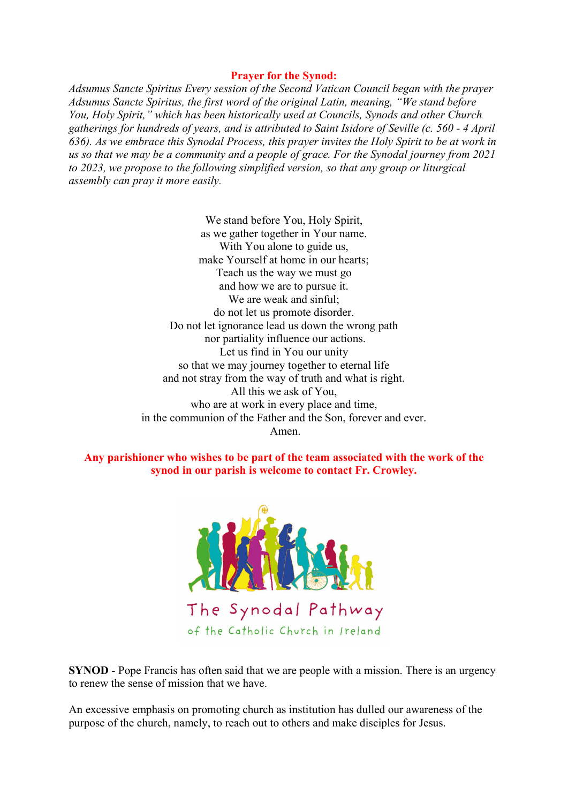## Prayer for the Synod:

Adsumus Sancte Spiritus Every session of the Second Vatican Council began with the prayer Adsumus Sancte Spiritus, the first word of the original Latin, meaning, "We stand before You, Holy Spirit," which has been historically used at Councils, Synods and other Church gatherings for hundreds of years, and is attributed to Saint Isidore of Seville (c. 560 - 4 April 636). As we embrace this Synodal Process, this prayer invites the Holy Spirit to be at work in us so that we may be a community and a people of grace. For the Synodal journey from 2021 to 2023, we propose to the following simplified version, so that any group or liturgical assembly can pray it more easily.

> We stand before You, Holy Spirit, as we gather together in Your name. With You alone to guide us, make Yourself at home in our hearts; Teach us the way we must go and how we are to pursue it. We are weak and sinful; do not let us promote disorder. Do not let ignorance lead us down the wrong path nor partiality influence our actions. Let us find in You our unity so that we may journey together to eternal life and not stray from the way of truth and what is right. All this we ask of You, who are at work in every place and time, in the communion of the Father and the Son, forever and ever. Amen.

Any parishioner who wishes to be part of the team associated with the work of the synod in our parish is welcome to contact Fr. Crowley.



SYNOD - Pope Francis has often said that we are people with a mission. There is an urgency to renew the sense of mission that we have.

An excessive emphasis on promoting church as institution has dulled our awareness of the purpose of the church, namely, to reach out to others and make disciples for Jesus.